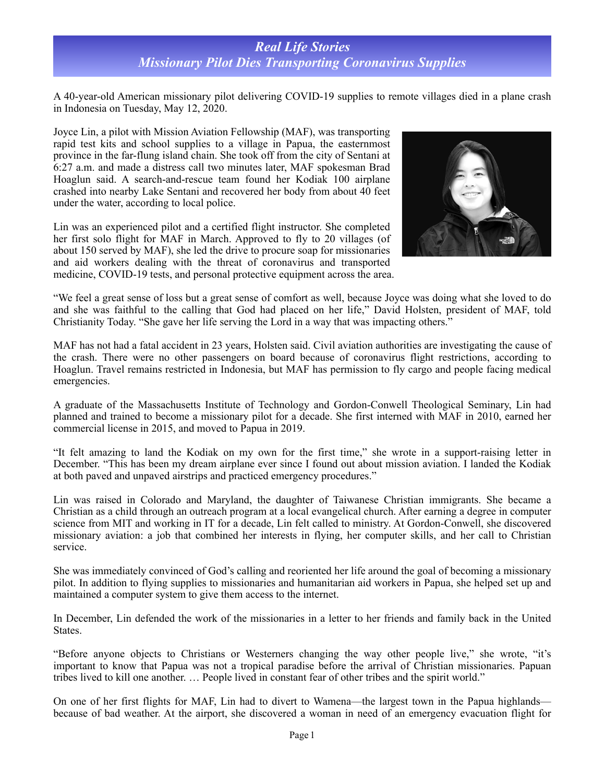## *Real Life Stories Missionary Pilot Dies Transporting Coronavirus Supplies*

A 40-year-old American missionary pilot delivering COVID-19 supplies to remote villages died in a plane crash in Indonesia on Tuesday, May 12, 2020.

Joyce Lin, a pilot with Mission Aviation Fellowship (MAF), was transporting rapid test kits and school supplies to a village in Papua, the easternmost province in the far-flung island chain. She took off from the city of Sentani at 6:27 a.m. and made a distress call two minutes later, MAF spokesman Brad Hoaglun said. A search-and-rescue team found her Kodiak 100 airplane crashed into nearby Lake Sentani and recovered her body from about 40 feet under the water, according to local police.

Lin was an experienced pilot and a certified flight instructor. She completed her first solo flight for MAF in March. Approved to fly to 20 villages (of about 150 served by MAF), she led the drive to procure soap for missionaries and aid workers dealing with the threat of coronavirus and transported medicine, COVID-19 tests, and personal protective equipment across the area.



"We feel a great sense of loss but a great sense of comfort as well, because Joyce was doing what she loved to do and she was faithful to the calling that God had placed on her life," David Holsten, president of MAF, told Christianity Today. "She gave her life serving the Lord in a way that was impacting others."

MAF has not had a fatal accident in 23 years, Holsten said. Civil aviation authorities are investigating the cause of the crash. There were no other passengers on board because of coronavirus flight restrictions, according to Hoaglun. Travel remains restricted in Indonesia, but MAF has permission to fly cargo and people facing medical emergencies.

A graduate of the Massachusetts Institute of Technology and Gordon-Conwell Theological Seminary, Lin had planned and trained to become a missionary pilot for a decade. She first interned with MAF in 2010, earned her commercial license in 2015, and moved to Papua in 2019.

"It felt amazing to land the Kodiak on my own for the first time," she wrote in a support-raising letter in December. "This has been my dream airplane ever since I found out about mission aviation. I landed the Kodiak at both paved and unpaved airstrips and practiced emergency procedures."

Lin was raised in Colorado and Maryland, the daughter of Taiwanese Christian immigrants. She became a Christian as a child through an outreach program at a local evangelical church. After earning a degree in computer science from MIT and working in IT for a decade, Lin felt called to ministry. At Gordon-Conwell, she discovered missionary aviation: a job that combined her interests in flying, her computer skills, and her call to Christian service.

She was immediately convinced of God's calling and reoriented her life around the goal of becoming a missionary pilot. In addition to flying supplies to missionaries and humanitarian aid workers in Papua, she helped set up and maintained a computer system to give them access to the internet.

In December, Lin defended the work of the missionaries in a letter to her friends and family back in the United States.

"Before anyone objects to Christians or Westerners changing the way other people live," she wrote, "it's important to know that Papua was not a tropical paradise before the arrival of Christian missionaries. Papuan tribes lived to kill one another. … People lived in constant fear of other tribes and the spirit world."

On one of her first flights for MAF, Lin had to divert to Wamena—the largest town in the Papua highlands because of bad weather. At the airport, she discovered a woman in need of an emergency evacuation flight for